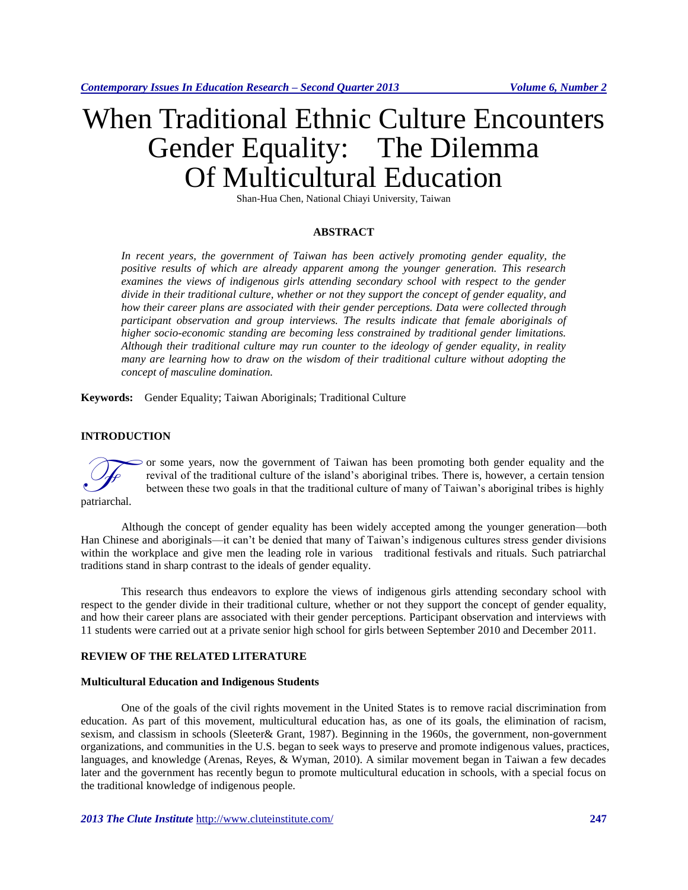# When Traditional Ethnic Culture Encounters Gender Equality: The Dilemma Of Multicultural Education

Shan-Hua Chen, National Chiayi University, Taiwan

#### **ABSTRACT**

*In recent years, the government of Taiwan has been actively promoting gender equality, the positive results of which are already apparent among the younger generation. This research*  examines the views of indigenous girls attending secondary school with respect to the gender *divide in their traditional culture, whether or not they support the concept of gender equality, and how their career plans are associated with their gender perceptions. Data were collected through participant observation and group interviews. The results indicate that female aboriginals of higher socio-economic standing are becoming less constrained by traditional gender limitations. Although their traditional culture may run counter to the ideology of gender equality, in reality many are learning how to draw on the wisdom of their traditional culture without adopting the concept of masculine domination.*

**Keywords:** Gender Equality; Taiwan Aboriginals; Traditional Culture

## **INTRODUCTION**



or some years, now the government of Taiwan has been promoting both gender equality and the revival of the traditional culture of the island's aboriginal tribes. There is, however, a certain tension between these two goals in that the traditional culture of many of Taiwan's aboriginal tribes is highly

Although the concept of gender equality has been widely accepted among the younger generation—both Han Chinese and aboriginals—it can't be denied that many of Taiwan's indigenous cultures stress gender divisions within the workplace and give men the leading role in various traditional festivals and rituals. Such patriarchal traditions stand in sharp contrast to the ideals of gender equality.

This research thus endeavors to explore the views of indigenous girls attending secondary school with respect to the gender divide in their traditional culture, whether or not they support the concept of gender equality, and how their career plans are associated with their gender perceptions. Participant observation and interviews with 11 students were carried out at a private senior high school for girls between September 2010 and December 2011.

## **REVIEW OF THE RELATED LITERATURE**

#### **Multicultural Education and Indigenous Students**

One of the goals of the civil rights movement in the United States is to remove racial discrimination from education. As part of this movement, multicultural education has, as one of its goals, the elimination of racism, sexism, and classism in schools (Sleeter& Grant, 1987). Beginning in the 1960s, the government, non-government organizations, and communities in the U.S. began to seek ways to preserve and promote indigenous values, practices, languages, and knowledge (Arenas, Reyes, & Wyman, 2010). A similar movement began in Taiwan a few decades later and the government has recently begun to promote multicultural education in schools, with a special focus on the traditional knowledge of indigenous people.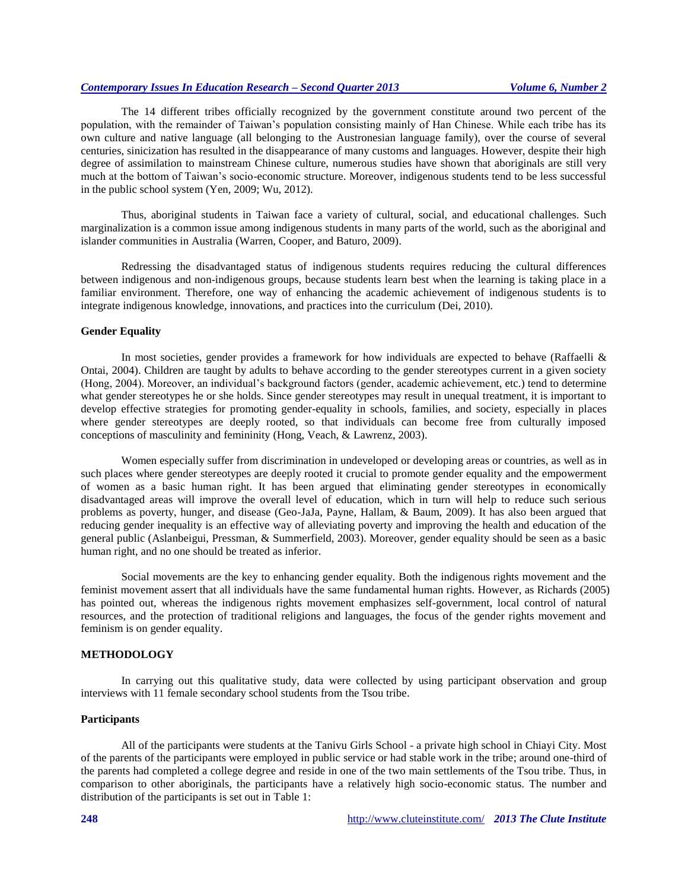## *Contemporary Issues In Education Research – Second Quarter 2013 Volume 6, Number 2*

The 14 different tribes officially recognized by the government constitute around two percent of the population, with the remainder of Taiwan's population consisting mainly of Han Chinese. While each tribe has its own culture and native language (all belonging to the Austronesian language family), over the course of several centuries, sinicization has resulted in the disappearance of many customs and languages. However, despite their high degree of assimilation to mainstream Chinese culture, numerous studies have shown that aboriginals are still very much at the bottom of Taiwan's socio-economic structure. Moreover, indigenous students tend to be less successful in the public school system (Yen, 2009; Wu, 2012).

Thus, aboriginal students in Taiwan face a variety of cultural, social, and educational challenges. Such marginalization is a common issue among indigenous students in many parts of the world, such as the aboriginal and islander communities in Australia (Warren, Cooper, and Baturo, 2009).

Redressing the disadvantaged status of indigenous students requires reducing the cultural differences between indigenous and non-indigenous groups, because students learn best when the learning is taking place in a familiar environment. Therefore, one way of enhancing the academic achievement of indigenous students is to integrate indigenous knowledge, innovations, and practices into the curriculum (Dei, 2010).

#### **Gender Equality**

In most societies, gender provides a framework for how individuals are expected to behave (Raffaelli & Ontai, 2004). Children are taught by adults to behave according to the gender stereotypes current in a given society (Hong, 2004). Moreover, an individual's background factors (gender, academic achievement, etc.) tend to determine what gender stereotypes he or she holds. Since gender stereotypes may result in unequal treatment, it is important to develop effective strategies for promoting gender-equality in schools, families, and society, especially in places where gender stereotypes are deeply rooted, so that individuals can become free from culturally imposed conceptions of masculinity and femininity (Hong, Veach, & Lawrenz, 2003).

Women especially suffer from discrimination in undeveloped or developing areas or countries, as well as in such places where gender stereotypes are deeply rooted it crucial to promote gender equality and the empowerment of women as a basic human right. It has been argued that eliminating gender stereotypes in economically disadvantaged areas will improve the overall level of education, which in turn will help to reduce such serious problems as poverty, hunger, and disease (Geo-JaJa, Payne, Hallam, & Baum, 2009). It has also been argued that reducing gender inequality is an effective way of alleviating poverty and improving the health and education of the general public (Aslanbeigui, Pressman, & Summerfield, 2003). Moreover, gender equality should be seen as a basic human right, and no one should be treated as inferior.

Social movements are the key to enhancing gender equality. Both the indigenous rights movement and the feminist movement assert that all individuals have the same fundamental human rights. However, as Richards (2005) has pointed out, whereas the indigenous rights movement emphasizes self-government, local control of natural resources, and the protection of traditional religions and languages, the focus of the gender rights movement and feminism is on gender equality.

## **METHODOLOGY**

In carrying out this qualitative study, data were collected by using participant observation and group interviews with 11 female secondary school students from the Tsou tribe.

## **Participants**

All of the participants were students at the Tanivu Girls School - a private high school in Chiayi City. Most of the parents of the participants were employed in public service or had stable work in the tribe; around one-third of the parents had completed a college degree and reside in one of the two main settlements of the Tsou tribe. Thus, in comparison to other aboriginals, the participants have a relatively high socio-economic status. The number and distribution of the participants is set out in Table 1: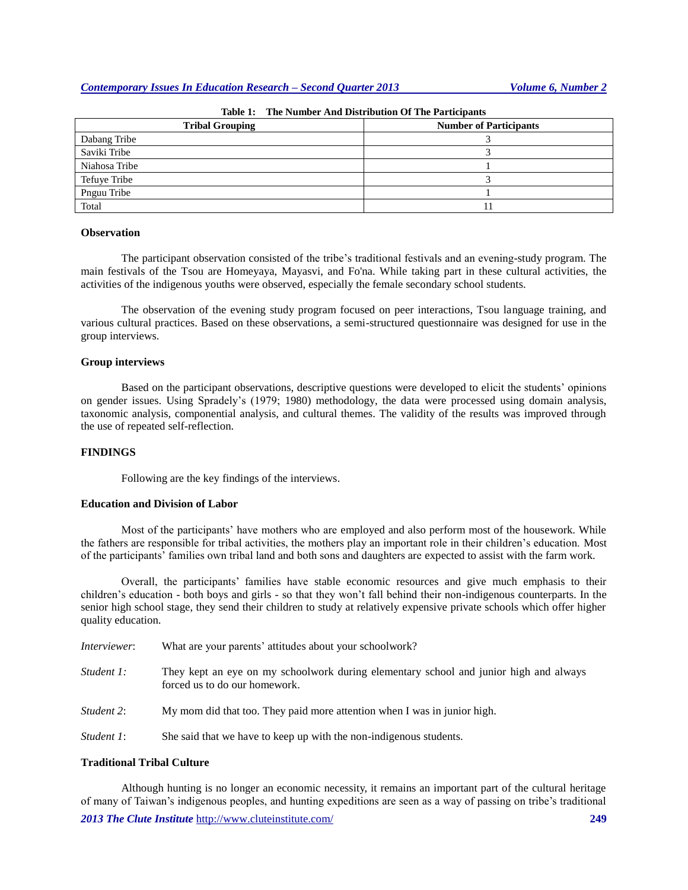| <b>Tribal Grouping</b> | <b>Number of Participants</b> |
|------------------------|-------------------------------|
| Dabang Tribe           |                               |
| Saviki Tribe           |                               |
| Niahosa Tribe          |                               |
| Tefuye Tribe           |                               |
| Pnguu Tribe            |                               |
| Total                  |                               |

**Table 1: The Number And Distribution Of The Participants**

## **Observation**

The participant observation consisted of the tribe's traditional festivals and an evening-study program. The main festivals of the Tsou are Homeyaya, Mayasvi, and Fo'na. While taking part in these cultural activities, the activities of the indigenous youths were observed, especially the female secondary school students.

The observation of the evening study program focused on peer interactions, Tsou language training, and various cultural practices. Based on these observations, a semi-structured questionnaire was designed for use in the group interviews.

#### **Group interviews**

Based on the participant observations, descriptive questions were developed to elicit the students' opinions on gender issues. Using Spradely's (1979; 1980) methodology, the data were processed using domain analysis, taxonomic analysis, componential analysis, and cultural themes. The validity of the results was improved through the use of repeate[d self-r](http://tw.dictionary.yahoo.com/search?ei=UTF-8&p=%E5%8F%8D%E7%9C%81)eflection.

## **FINDINGS**

Following are the key findings of the interviews.

#### **Education and Division of Labor**

Most of the participants' have mothers who are employed and also perform most of the housework. While the fathers are responsible for tribal activities, the mothers play an important role in their children's education. Most of the participants' families own tribal land and both sons and daughters are expected to assist with the farm work.

Overall, the participants' families have stable economic resources and give much emphasis to their children's education - both boys and girls - so that they won't fall behind their non-indigenous counterparts. In the senior high school stage, they send their children to study at relatively expensive private schools which offer higher quality education.

| <i>Interviewer</i> : | What are your parents' attitudes about your schoolwork?                                                                |  |
|----------------------|------------------------------------------------------------------------------------------------------------------------|--|
| Student 1:           | They kept an eye on my schoolwork during elementary school and junior high and always<br>forced us to do our homework. |  |
| Student 2:           | My mom did that too. They paid more attention when I was in junior high.                                               |  |
| Student 1:           | She said that we have to keep up with the non-indigenous students.                                                     |  |

#### **Traditional Tribal Culture**

*2013 The Clute Institute* <http://www.cluteinstitute.com/> **249** Although hunting is no longer an economic necessity, it remains an important part of the cultural heritage of many of Taiwan's indigenous peoples, and hunting expeditions are seen as a way of passing on tribe's traditional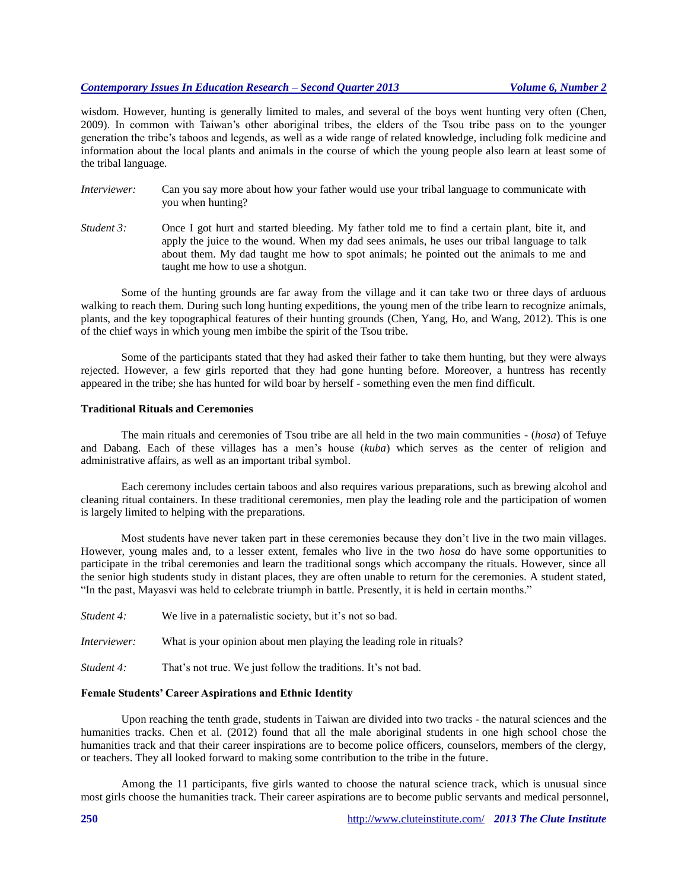## *Contemporary Issues In Education Research – Second Quarter 2013 Volume 6, Number 2*

wisdom. However, hunting is generally limited to males, and several of the boys went hunting very often (Chen, 2009). In common with Taiwan's other aboriginal tribes, the elders of the Tsou tribe pass on to the younger generation the tribe's taboos and legends, as well as a wide range of related knowledge, including folk medicine and information about the local plants and animals in the course of which the young people also learn at least some of the tribal language.

- *Interviewer:* Can you say more about how your father would use your tribal language to communicate with you when hunting?
- *Student* 3: Once I got hurt and started bleeding. My father told me to find a certain plant, bite it, and apply the juice to the wound. When my dad sees animals, he uses our tribal language to talk about them. My dad taught me how to spot animals; he pointed out the animals to me and taught me how to use a shotgun.

Some of the hunting grounds are far away from the village and it can take two or three days of arduous walking to reach them. During such long hunting expeditions, the young men of the tribe learn to recognize animals, plants, and the key topographical features of their hunting grounds (Chen, Yang, Ho, and Wang, 2012). This is one of the chief ways in which young men imbibe the spirit of the Tsou tribe.

Some of the participants stated that they had asked their father to take them hunting, but they were always rejected. However, a few girls reported that they had gone hunting before. Moreover, a huntress has recently appeared in the tribe; she has hunted for wild boar by herself - something even the men find difficult.

#### **Traditional Rituals and Ceremonies**

The main rituals and ceremonies of Tsou tribe are all held in the two main communities - (*hosa*) of Tefuye and Dabang. Each of these villages has a men's house (*kuba*) which serves as the center of religion and administrative affairs, as well as an important tribal symbol.

Each ceremony includes certain taboos and also requires various preparations, such as brewing alcohol and cleaning ritual containers. In these traditional ceremonies, men play the leading role and the participation of women is largely limited to helping with the preparations.

Most students have never taken part in these ceremonies because they don't live in the two main villages. However, young males and, to a lesser extent, females who live in the two *hosa* do have some opportunities to participate in the tribal ceremonies and learn the traditional songs which accompany the rituals. However, since all the senior high students study in distant places, they are often unable to return for the ceremonies. A student stated, "In the past, Mayasvi was held to celebrate triumph in battle. Presently, it is held in certain months."

*Student* 4: We live in a paternalistic society, but it's not so bad.

*Interviewer:* What is your opinion about men playing the leading role in rituals?

*Student* 4: That's not true. We just follow the traditions. It's not bad.

#### **Female Students' Career Aspirations and Ethnic Identity**

Upon reaching the tenth grade, students in Taiwan are divided into two tracks - the natural sciences and the humanities tracks. Chen et al. (2012) found that all the male aboriginal students in one high school chose the humanities track and that their career inspirations are to become police officers, counselors, members of the clergy, or teachers. They all looked forward to making some contribution to the tribe in the future.

Among the 11 participants, five girls wanted to choose the natural science track, which is unusual since most girls choose the humanities track. Their career aspirations are to become public servants and medical personnel,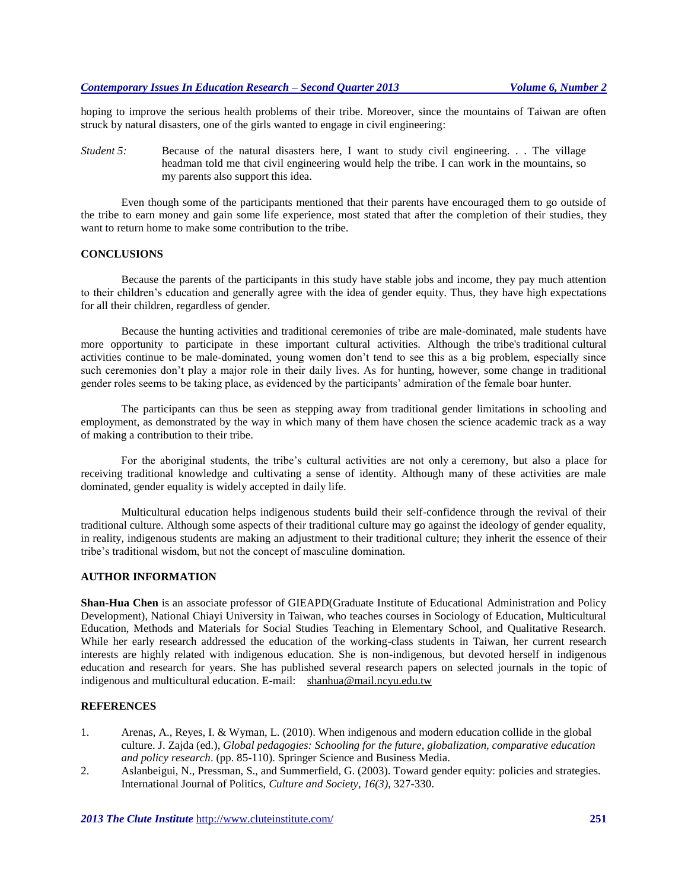hoping to improve the serious health problems of their tribe. Moreover, since the mountains of Taiwan are often struck by natural disasters, one of the girls wanted to engage in civil engineering:

*Student* 5: Because of the natural disasters here, I want to study civil engineering. . . The village headman told me that civil engineering would help the tribe. I can work in the mountains, so my parents also support this idea.

Even though some of the participants mentioned that their parents have encouraged them to go outside of the tribe to earn money and gain some life experience, most stated that after the completion of their studies, they want to return home to make some contribution to the tribe.

## **CONCLUSIONS**

Because the parents of the participants in this study have stable jobs and income, they pay much attention to their children's education and generally agree with the idea of gender equity. Thus, they have high expectations for all their children, regardless of gender.

Because the hunting activities and traditional ceremonies of tribe are male-dominated, male students have more opportunity to participate in these important cultural activities. Although the tribe's traditional cultural activities continue to be male-dominated, young women don't tend to see this as a big problem, especially since such ceremonies don't play a major role in their daily lives. As for hunting, however, some change in traditional gender roles seems to be taking place, as evidenced by the participants' admiration of the female boar hunter.

The participants can thus be seen as stepping away from traditional gender limitations in schooling and employment, as demonstrated by the way in which many of them have chosen the science academic track as a way of making a contribution to their tribe.

For the aboriginal students, the tribe's cultural activities are not only a ceremony, but also a place for receiving traditional knowledge and cultivating a sense of identity. Although many of these activities are male dominated, gender equality is widely accepted in daily life.

Multicultural education helps indigenous students build their self-confidence through the revival of their traditional culture. Although some aspects of their traditional culture may go against the ideology of gender equality, in reality, indigenous students are making an adjustment to their traditional culture; they inherit the essence of their tribe's traditional wisdom, but not the concept of masculine domination.

## **AUTHOR INFORMATION**

**Shan-Hua Chen** is an associate professor of GIEAPD(Graduate Institute of Educational Administration and Policy Development), National Chiayi University in Taiwan, who teaches courses in Sociology of Education, Multicultural Education, Methods and Materials for Social Studies Teaching in Elementary School, and Qualitative Research. While her early research addressed the education of the working-class students in Taiwan, her current research interests are highly related with indigenous education. She is non-indigenous, but devoted herself in indigenous education and research for years. She has published several research papers on selected journals in the topic of indigenous and multicultural education. E-mail: [shanhua@mail.ncyu.edu.tw](mailto:shanhua@mail.ncyu.edu.tw)

## **REFERENCES**

- 1. Arenas, A., Reyes, I. & Wyman, L. (2010). When indigenous and modern education collide in the global culture. J. Zajda (ed.), *Global pedagogies: Schooling for the future, globalization, comparative education and policy research*. (pp. 85-110). Springer Science and Business Media.
- 2. Aslanbeigui, N., Pressman, S., and Summerfield, G. (2003). Toward gender equity: policies and strategies. International Journal of Politics, *Culture and Society, 16(3)*, 327-330.